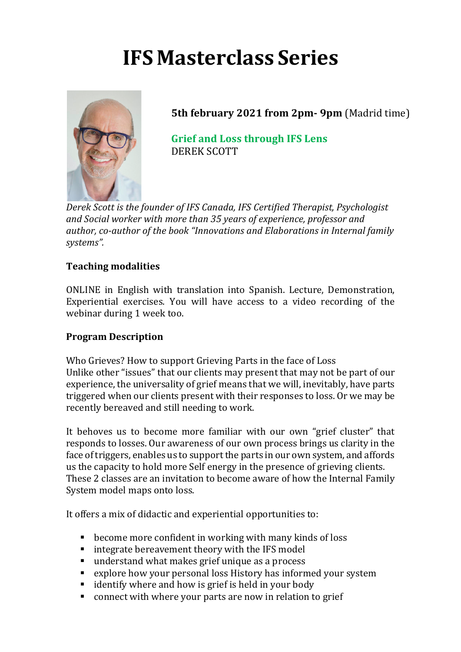# **IFS Masterclass Series**



**5th february 2021 from 2pm- 9pm (Madrid time)** 

**Grief and Loss through IFS Lens** DEREK SCOTT

Derek Scott is the founder of IFS Canada, IFS Certified Therapist, Psychologist and Social worker with more than 35 years of experience, professor and author, co-author of the book "Innovations and Elaborations in Internal family *systems".*

## **Teaching modalities**

ONLINE in English with translation into Spanish. Lecture, Demonstration, Experiential exercises. You will have access to a video recording of the webinar during 1 week too.

#### **Program Description**

Who Grieves? How to support Grieving Parts in the face of Loss Unlike other "issues" that our clients may present that may not be part of our experience, the universality of grief means that we will, inevitably, have parts triggered when our clients present with their responses to loss. Or we may be recently bereaved and still needing to work.

It behoves us to become more familiar with our own "grief cluster" that responds to losses. Our awareness of our own process brings us clarity in the face of triggers, enables us to support the parts in our own system, and affords us the capacity to hold more Self energy in the presence of grieving clients. These 2 classes are an invitation to become aware of how the Internal Family System model maps onto loss.

It offers a mix of didactic and experiential opportunities to:

- $\blacksquare$  become more confident in working with many kinds of loss
- integrate bereavement theory with the IFS model
- understand what makes grief unique as a process
- explore how your personal loss History has informed your system
- identify where and how is grief is held in your body
- connect with where your parts are now in relation to grief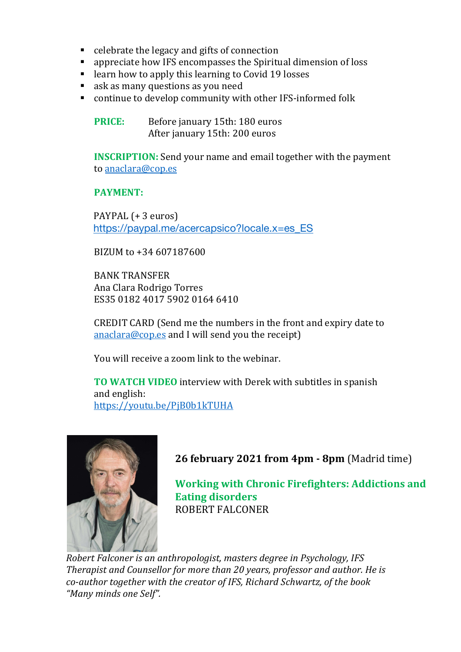- $\blacksquare$  celebrate the legacy and gifts of connection
- appreciate how IFS encompasses the Spiritual dimension of loss
- learn how to apply this learning to Covid 19 losses
- ask as many questions as you need
- continue to develop community with other IFS-informed folk

**PRICE:** Before january 15th: 180 euros After january 15th: 200 euros

**INSCRIPTION:** Send your name and email together with the payment to anaclara@cop.es

#### **PAYMENT:**

PAYPAL (+ 3 euros) https://paypal.me/acercapsico?locale.x=es\_ES

BIZUM to +34 607187600

**BANK TRANSFER** Ana Clara Rodrigo Torres ES35 0182 4017 5902 0164 6410

CREDIT CARD (Send me the numbers in the front and expiry date to anaclara@cop.es and I will send you the receipt)

You will receive a zoom link to the webinar.

**TO WATCH VIDEO** interview with Derek with subtitles in spanish and english: https://youtu.be/PjB0b1kTUHA



**26 february 2021 from 4pm - 8pm (Madrid time)** 

**Working with Chronic Firefighters: Addictions and Eating disorders** ROBERT FALCONER

*Robert Falconer is an anthropologist, masters degree in Psychology, IFS Therapist and Counsellor for more than 20 years, professor and author. He is co-author together with the creator of IFS, Richard Schwartz, of the book "Many minds one Self".*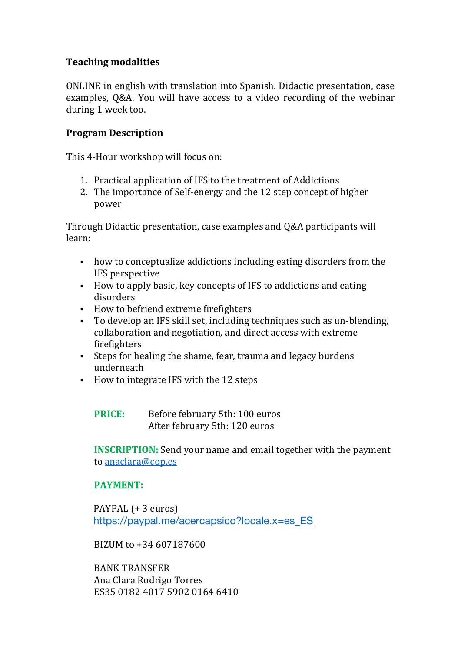# **Teaching modalities**

ONLINE in english with translation into Spanish. Didactic presentation, case examples, Q&A. You will have access to a video recording of the webinar during 1 week too.

## **Program Description**

This 4-Hour workshop will focus on:

- 1. Practical application of IFS to the treatment of Addictions
- 2. The importance of Self-energy and the 12 step concept of higher power

Through Didactic presentation, case examples and Q&A participants will learn:

- how to conceptualize addictions including eating disorders from the IFS perspective
- How to apply basic, key concepts of IFS to addictions and eating disorders
- How to befriend extreme firefighters
- To develop an IFS skill set, including techniques such as un-blending, collaboration and negotiation, and direct access with extreme firefighters
- Steps for healing the shame, fear, trauma and legacy burdens underneath
- How to integrate IFS with the 12 steps

**PRICE:** Before february 5th: 100 euros After february 5th: 120 euros

**INSCRIPTION:** Send your name and email together with the payment to anaclara@cop.es

#### **PAYMENT:**

PAYPAL (+ 3 euros) https://paypal.me/acercapsico?locale.x=es\_ES

BIZUM to +34 607187600

**BANK TRANSFER** Ana Clara Rodrigo Torres ES35 0182 4017 5902 0164 6410